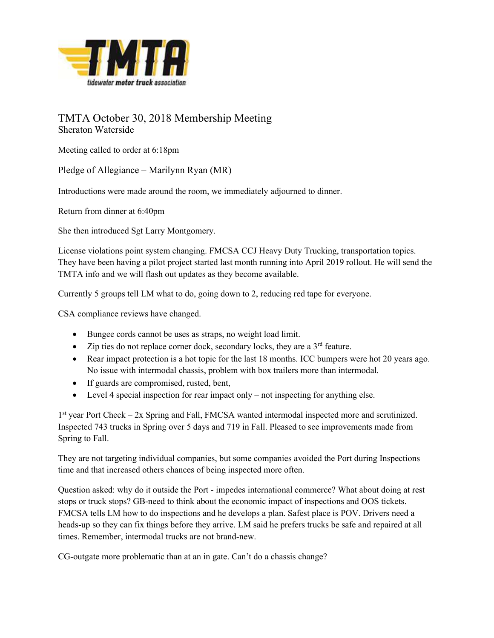

## TMTA October 30, 2018 Membership Meeting Sheraton Waterside

Meeting called to order at 6:18pm

Pledge of Allegiance – Marilynn Ryan (MR)

Introductions were made around the room, we immediately adjourned to dinner.

Return from dinner at 6:40pm

She then introduced Sgt Larry Montgomery.

License violations point system changing. FMCSA CCJ Heavy Duty Trucking, transportation topics. They have been having a pilot project started last month running into April 2019 rollout. He will send the TMTA info and we will flash out updates as they become available.

Currently 5 groups tell LM what to do, going down to 2, reducing red tape for everyone.

CSA compliance reviews have changed.

- Bungee cords cannot be uses as straps, no weight load limit.
- $\bullet$  Zip ties do not replace corner dock, secondary locks, they are a 3<sup>rd</sup> feature.
- Rear impact protection is a hot topic for the last 18 months. ICC bumpers were hot 20 years ago. No issue with intermodal chassis, problem with box trailers more than intermodal.
- If guards are compromised, rusted, bent,
- Level 4 special inspection for rear impact only not inspecting for anything else.

1<sup>st</sup> year Port Check – 2x Spring and Fall, FMCSA wanted intermodal inspected more and scrutinized. Inspected 743 trucks in Spring over 5 days and 719 in Fall. Pleased to see improvements made from Spring to Fall.

They are not targeting individual companies, but some companies avoided the Port during Inspections time and that increased others chances of being inspected more often.

Question asked: why do it outside the Port - impedes international commerce? What about doing at rest stops or truck stops? GB-need to think about the economic impact of inspections and OOS tickets. FMCSA tells LM how to do inspections and he develops a plan. Safest place is POV. Drivers need a heads-up so they can fix things before they arrive. LM said he prefers trucks be safe and repaired at all times. Remember, intermodal trucks are not brand-new.

CG-outgate more problematic than at an in gate. Can't do a chassis change?